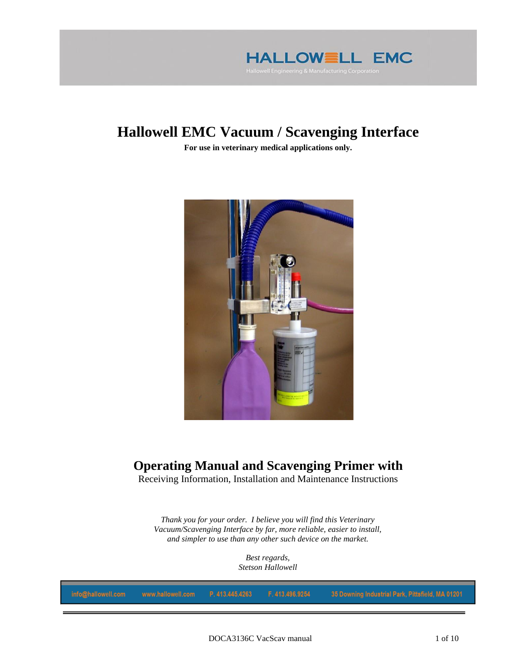

# **Hallowell EMC Vacuum / Scavenging Interface**

**For use in veterinary medical applications only.**



## **Operating Manual and Scavenging Primer with**

Receiving Information, Installation and Maintenance Instructions

*Thank you for your order. I believe you will find this Veterinary Vacuum/Scavenging Interface by far, more reliable, easier to install, and simpler to use than any other such device on the market.*

> *Best regards, Stetson Hallowell*

| info@hallowell.com   www.hallowell.com   P. 413.445.4263   F. 413.496.9254    35 Downing Industrial Park, Pittsfield, MA 0120 |
|-------------------------------------------------------------------------------------------------------------------------------|
|-------------------------------------------------------------------------------------------------------------------------------|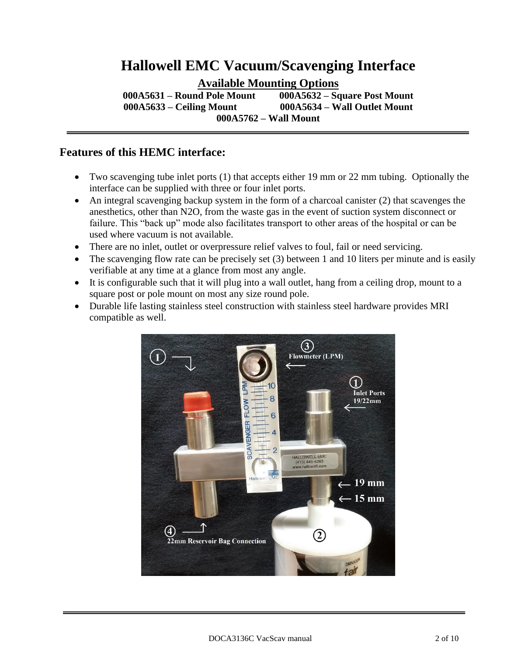# **Hallowell EMC Vacuum/Scavenging Interface**

**Available Mounting Options**

**000A5631 – Round Pole Mount 000A5632 – Square Post Mount 000A5633 – Ceiling Mount 000A5634 – Wall Outlet Mount 000A5762 – Wall Mount**

#### **Features of this HEMC interface:**

- Two scavenging tube inlet ports (1) that accepts either 19 mm or 22 mm tubing. Optionally the interface can be supplied with three or four inlet ports.
- An integral scavenging backup system in the form of a charcoal canister (2) that scavenges the anesthetics, other than N2O, from the waste gas in the event of suction system disconnect or failure. This "back up" mode also facilitates transport to other areas of the hospital or can be used where vacuum is not available.
- There are no inlet, outlet or overpressure relief valves to foul, fail or need servicing.
- The scavenging flow rate can be precisely set (3) between 1 and 10 liters per minute and is easily verifiable at any time at a glance from most any angle.
- It is configurable such that it will plug into a wall outlet, hang from a ceiling drop, mount to a square post or pole mount on most any size round pole.
- Durable life lasting stainless steel construction with stainless steel hardware provides MRI compatible as well.

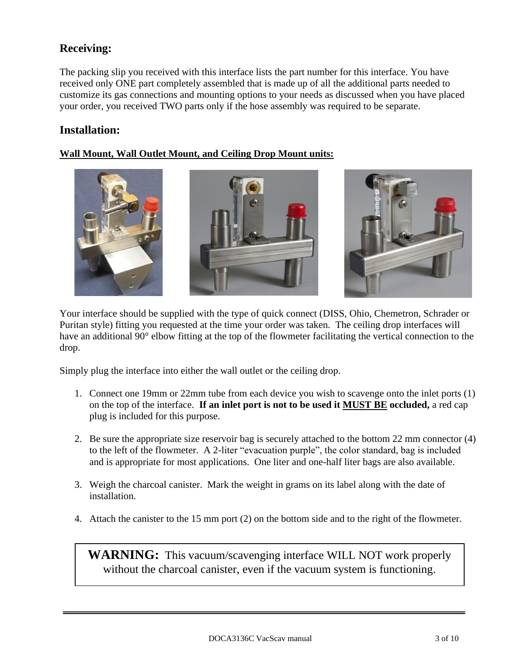## **Receiving:**

The packing slip you received with this interface lists the part number for this interface. You have received only ONE part completely assembled that is made up of all the additional parts needed to customize its gas connections and mounting options to your needs as discussed when you have placed your order, you received TWO parts only if the hose assembly was required to be separate.

### **Installation:**

#### **Wall Mount, Wall Outlet Mount, and Ceiling Drop Mount units:**



Your interface should be supplied with the type of quick connect (DISS, Ohio, Chemetron, Schrader or Puritan style) fitting you requested at the time your order was taken. The ceiling drop interfaces will have an additional 90° elbow fitting at the top of the flowmeter facilitating the vertical connection to the drop.

Simply plug the interface into either the wall outlet or the ceiling drop.

- 1. Connect one 19mm or 22mm tube from each device you wish to scavenge onto the inlet ports (1) on the top of the interface. **If an inlet port is not to be used it MUST BE occluded,** a red cap plug is included for this purpose.
- 2. Be sure the appropriate size reservoir bag is securely attached to the bottom 22 mm connector (4) to the left of the flowmeter. A 2-liter "evacuation purple", the color standard, bag is included and is appropriate for most applications. One liter and one-half liter bags are also available.
- 3. Weigh the charcoal canister. Mark the weight in grams on its label along with the date of installation.
- 4. Attach the canister to the 15 mm port (2) on the bottom side and to the right of the flowmeter.

**WARNING:** This vacuum/scavenging interface WILL NOT work properly without the charcoal canister, even if the vacuum system is functioning.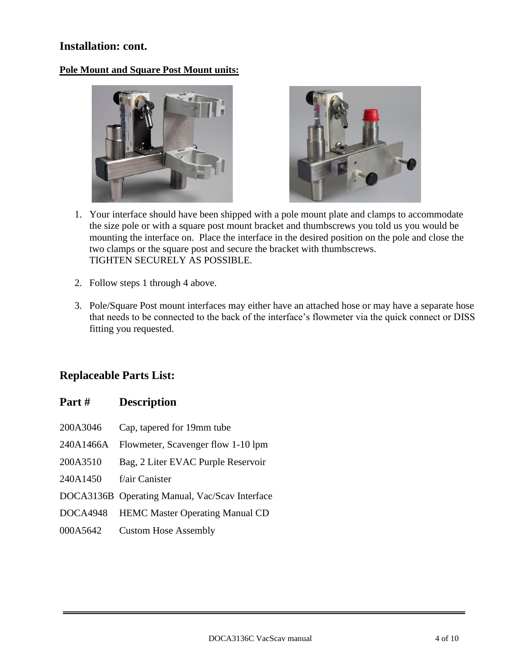#### **Installation: cont.**

#### **Pole Mount and Square Post Mount units:**





- 1. Your interface should have been shipped with a pole mount plate and clamps to accommodate the size pole or with a square post mount bracket and thumbscrews you told us you would be mounting the interface on. Place the interface in the desired position on the pole and close the two clamps or the square post and secure the bracket with thumbscrews. TIGHTEN SECURELY AS POSSIBLE.
- 2. Follow steps 1 through 4 above.
- 3. Pole/Square Post mount interfaces may either have an attached hose or may have a separate hose that needs to be connected to the back of the interface's flowmeter via the quick connect or DISS fitting you requested.

### **Replaceable Parts List:**

#### **Part # Description**

- 200A3046 Cap, tapered for 19mm tube
- 240A1466A Flowmeter, Scavenger flow 1-10 lpm
- 200A3510 Bag, 2 Liter EVAC Purple Reservoir
- 240A1450 f/air Canister
- DOCA3136B Operating Manual, Vac/Scav Interface
- DOCA4948 HEMC Master Operating Manual CD
- 000A5642 Custom Hose Assembly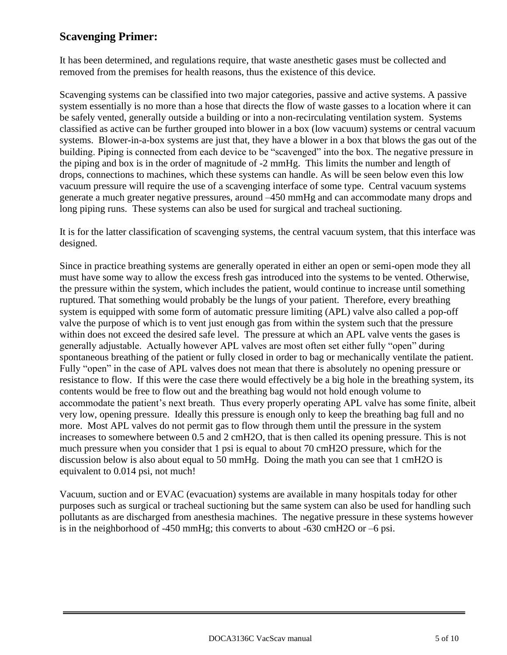## **Scavenging Primer:**

It has been determined, and regulations require, that waste anesthetic gases must be collected and removed from the premises for health reasons, thus the existence of this device.

Scavenging systems can be classified into two major categories, passive and active systems. A passive system essentially is no more than a hose that directs the flow of waste gasses to a location where it can be safely vented, generally outside a building or into a non-recirculating ventilation system. Systems classified as active can be further grouped into blower in a box (low vacuum) systems or central vacuum systems. Blower-in-a-box systems are just that, they have a blower in a box that blows the gas out of the building. Piping is connected from each device to be "scavenged" into the box. The negative pressure in the piping and box is in the order of magnitude of -2 mmHg. This limits the number and length of drops, connections to machines, which these systems can handle. As will be seen below even this low vacuum pressure will require the use of a scavenging interface of some type. Central vacuum systems generate a much greater negative pressures, around –450 mmHg and can accommodate many drops and long piping runs. These systems can also be used for surgical and tracheal suctioning.

It is for the latter classification of scavenging systems, the central vacuum system, that this interface was designed.

Since in practice breathing systems are generally operated in either an open or semi-open mode they all must have some way to allow the excess fresh gas introduced into the systems to be vented. Otherwise, the pressure within the system, which includes the patient, would continue to increase until something ruptured. That something would probably be the lungs of your patient. Therefore, every breathing system is equipped with some form of automatic pressure limiting (APL) valve also called a pop-off valve the purpose of which is to vent just enough gas from within the system such that the pressure within does not exceed the desired safe level. The pressure at which an APL valve vents the gases is generally adjustable. Actually however APL valves are most often set either fully "open" during spontaneous breathing of the patient or fully closed in order to bag or mechanically ventilate the patient. Fully "open" in the case of APL valves does not mean that there is absolutely no opening pressure or resistance to flow. If this were the case there would effectively be a big hole in the breathing system, its contents would be free to flow out and the breathing bag would not hold enough volume to accommodate the patient's next breath. Thus every properly operating APL valve has some finite, albeit very low, opening pressure. Ideally this pressure is enough only to keep the breathing bag full and no more. Most APL valves do not permit gas to flow through them until the pressure in the system increases to somewhere between 0.5 and 2 cmH2O, that is then called its opening pressure. This is not much pressure when you consider that 1 psi is equal to about 70 cmH2O pressure, which for the discussion below is also about equal to 50 mmHg. Doing the math you can see that 1 cmH2O is equivalent to 0.014 psi, not much!

Vacuum, suction and or EVAC (evacuation) systems are available in many hospitals today for other purposes such as surgical or tracheal suctioning but the same system can also be used for handling such pollutants as are discharged from anesthesia machines. The negative pressure in these systems however is in the neighborhood of -450 mmHg; this converts to about -630 cmH2O or –6 psi.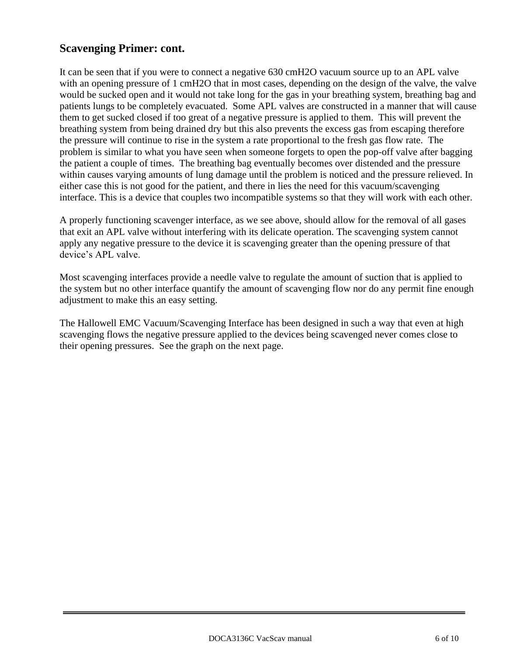### **Scavenging Primer: cont.**

It can be seen that if you were to connect a negative 630 cmH2O vacuum source up to an APL valve with an opening pressure of 1 cmH2O that in most cases, depending on the design of the valve, the valve would be sucked open and it would not take long for the gas in your breathing system, breathing bag and patients lungs to be completely evacuated. Some APL valves are constructed in a manner that will cause them to get sucked closed if too great of a negative pressure is applied to them. This will prevent the breathing system from being drained dry but this also prevents the excess gas from escaping therefore the pressure will continue to rise in the system a rate proportional to the fresh gas flow rate. The problem is similar to what you have seen when someone forgets to open the pop-off valve after bagging the patient a couple of times. The breathing bag eventually becomes over distended and the pressure within causes varying amounts of lung damage until the problem is noticed and the pressure relieved. In either case this is not good for the patient, and there in lies the need for this vacuum/scavenging interface. This is a device that couples two incompatible systems so that they will work with each other.

A properly functioning scavenger interface, as we see above, should allow for the removal of all gases that exit an APL valve without interfering with its delicate operation. The scavenging system cannot apply any negative pressure to the device it is scavenging greater than the opening pressure of that device's APL valve.

Most scavenging interfaces provide a needle valve to regulate the amount of suction that is applied to the system but no other interface quantify the amount of scavenging flow nor do any permit fine enough adjustment to make this an easy setting.

The Hallowell EMC Vacuum/Scavenging Interface has been designed in such a way that even at high scavenging flows the negative pressure applied to the devices being scavenged never comes close to their opening pressures. See the graph on the next page.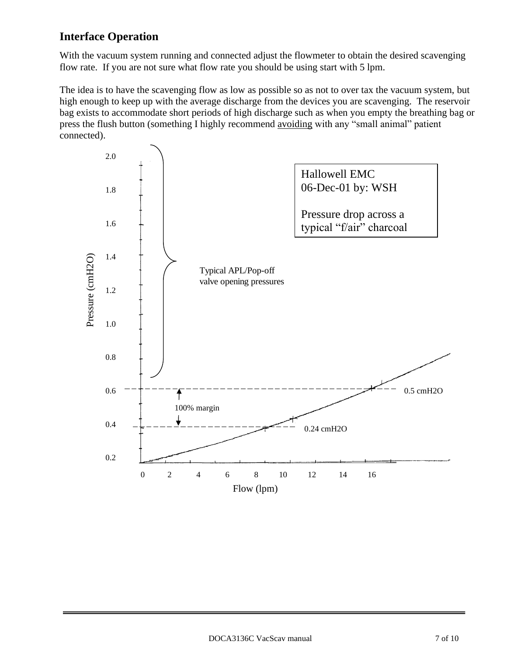## **Interface Operation**

With the vacuum system running and connected adjust the flowmeter to obtain the desired scavenging flow rate. If you are not sure what flow rate you should be using start with 5 lpm.

The idea is to have the scavenging flow as low as possible so as not to over tax the vacuum system, but high enough to keep up with the average discharge from the devices you are scavenging. The reservoir bag exists to accommodate short periods of high discharge such as when you empty the breathing bag or press the flush button (something I highly recommend avoiding with any "small animal" patient connected).

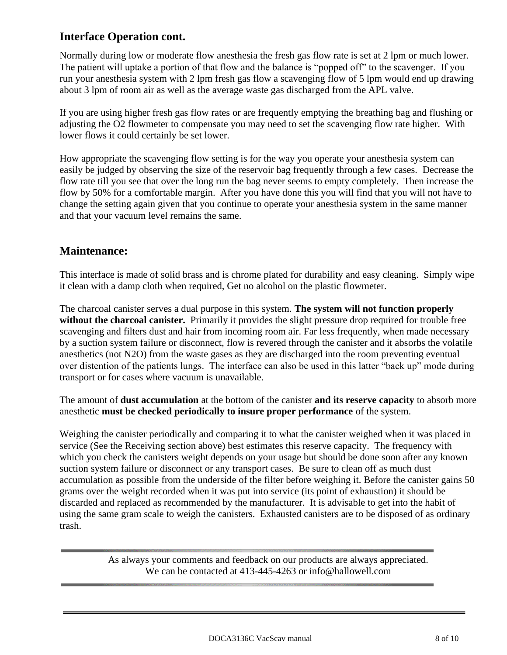## **Interface Operation cont.**

Normally during low or moderate flow anesthesia the fresh gas flow rate is set at 2 lpm or much lower. The patient will uptake a portion of that flow and the balance is "popped off" to the scavenger. If you run your anesthesia system with 2 lpm fresh gas flow a scavenging flow of 5 lpm would end up drawing about 3 lpm of room air as well as the average waste gas discharged from the APL valve.

If you are using higher fresh gas flow rates or are frequently emptying the breathing bag and flushing or adjusting the O2 flowmeter to compensate you may need to set the scavenging flow rate higher. With lower flows it could certainly be set lower.

How appropriate the scavenging flow setting is for the way you operate your anesthesia system can easily be judged by observing the size of the reservoir bag frequently through a few cases. Decrease the flow rate till you see that over the long run the bag never seems to empty completely. Then increase the flow by 50% for a comfortable margin. After you have done this you will find that you will not have to change the setting again given that you continue to operate your anesthesia system in the same manner and that your vacuum level remains the same.

#### **Maintenance:**

This interface is made of solid brass and is chrome plated for durability and easy cleaning. Simply wipe it clean with a damp cloth when required, Get no alcohol on the plastic flowmeter.

The charcoal canister serves a dual purpose in this system. **The system will not function properly without the charcoal canister.** Primarily it provides the slight pressure drop required for trouble free scavenging and filters dust and hair from incoming room air. Far less frequently, when made necessary by a suction system failure or disconnect, flow is revered through the canister and it absorbs the volatile anesthetics (not N2O) from the waste gases as they are discharged into the room preventing eventual over distention of the patients lungs. The interface can also be used in this latter "back up" mode during transport or for cases where vacuum is unavailable.

The amount of **dust accumulation** at the bottom of the canister **and its reserve capacity** to absorb more anesthetic **must be checked periodically to insure proper performance** of the system.

Weighing the canister periodically and comparing it to what the canister weighed when it was placed in service (See the Receiving section above) best estimates this reserve capacity. The frequency with which you check the canisters weight depends on your usage but should be done soon after any known suction system failure or disconnect or any transport cases. Be sure to clean off as much dust accumulation as possible from the underside of the filter before weighing it. Before the canister gains 50 grams over the weight recorded when it was put into service (its point of exhaustion) it should be discarded and replaced as recommended by the manufacturer. It is advisable to get into the habit of using the same gram scale to weigh the canisters. Exhausted canisters are to be disposed of as ordinary trash.

> As always your comments and feedback on our products are always appreciated. We can be contacted at 413-445-4263 or info@hallowell.com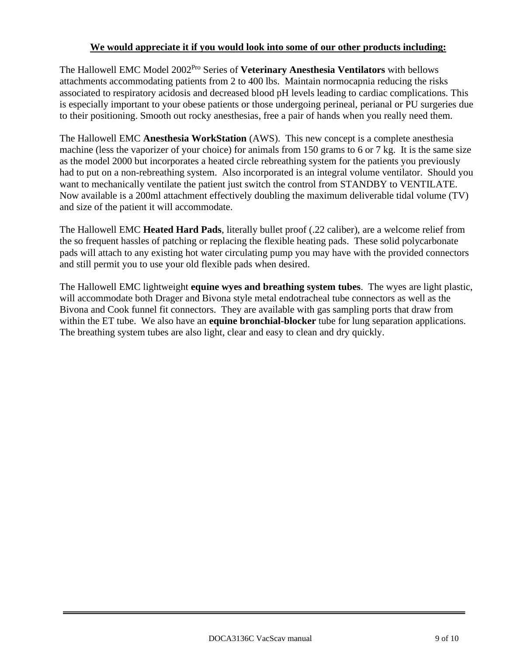#### **We would appreciate it if you would look into some of our other products including:**

The Hallowell EMC Model 2002 Pro Series of **Veterinary Anesthesia Ventilators** with bellows attachments accommodating patients from 2 to 400 lbs. Maintain normocapnia reducing the risks associated to respiratory acidosis and decreased blood pH levels leading to cardiac complications. This is especially important to your obese patients or those undergoing perineal, perianal or PU surgeries due to their positioning. Smooth out rocky anesthesias, free a pair of hands when you really need them.

The Hallowell EMC **Anesthesia WorkStation** (AWS). This new concept is a complete anesthesia machine (less the vaporizer of your choice) for animals from 150 grams to 6 or 7 kg. It is the same size as the model 2000 but incorporates a heated circle rebreathing system for the patients you previously had to put on a non-rebreathing system. Also incorporated is an integral volume ventilator. Should you want to mechanically ventilate the patient just switch the control from STANDBY to VENTILATE. Now available is a 200ml attachment effectively doubling the maximum deliverable tidal volume (TV) and size of the patient it will accommodate.

The Hallowell EMC **Heated Hard Pads**, literally bullet proof (.22 caliber), are a welcome relief from the so frequent hassles of patching or replacing the flexible heating pads. These solid polycarbonate pads will attach to any existing hot water circulating pump you may have with the provided connectors and still permit you to use your old flexible pads when desired.

The Hallowell EMC lightweight **equine wyes and breathing system tubes**. The wyes are light plastic, will accommodate both Drager and Bivona style metal endotracheal tube connectors as well as the Bivona and Cook funnel fit connectors. They are available with gas sampling ports that draw from within the ET tube. We also have an **equine bronchial-blocker** tube for lung separation applications. The breathing system tubes are also light, clear and easy to clean and dry quickly.